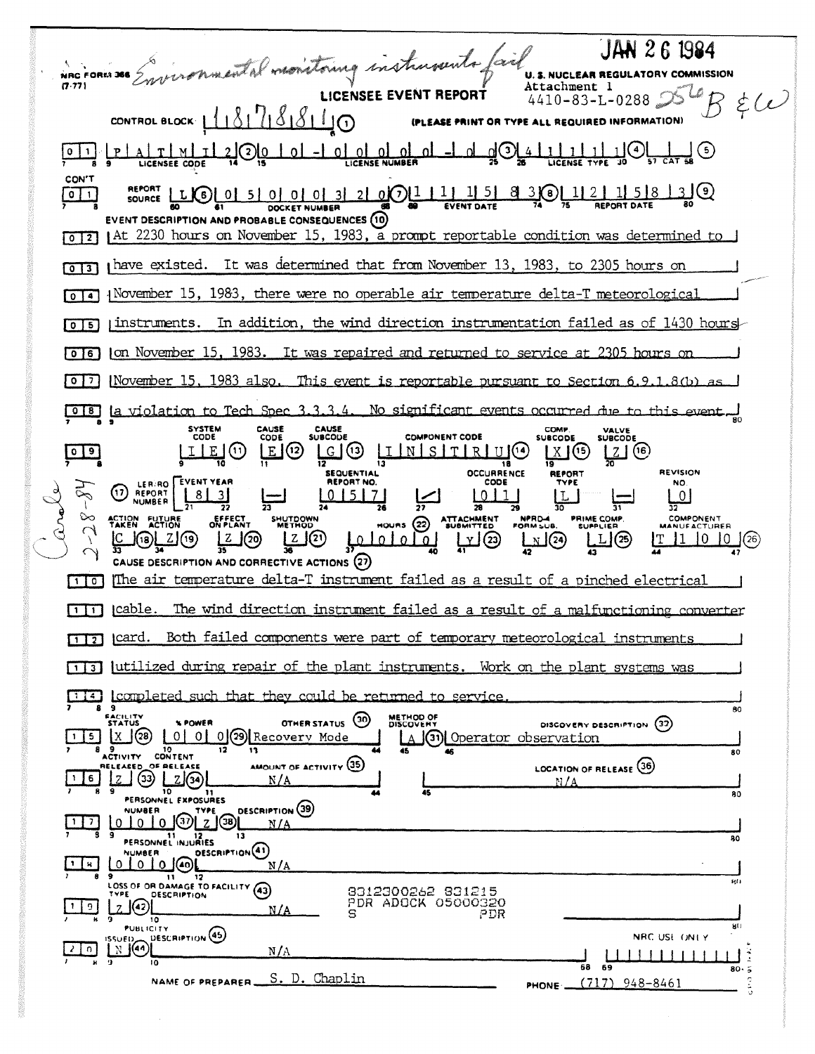JAN 26 1984 inconnaited monitoing instruments fait NRC FORM 366 **U. S. NUCLEAR REGULATORY COMMISSION** Attachment 1  $\dot{\xi}(\nu)$  $4410 - 83 - L - 0288$ CONTROL BLOCK  $181788190$ (PLEASE PRINT OR TYPE ALL REQUIRED INFORMATION)  $L_{\overline{\omega}}$  $A \tI \tM \tI$  2.  $2 \tO \tI$   $0 \tI$   $1 \tO \tI$   $1 \tO \tM$ <u>។</u><br>ក <u> പ</u> <u>u</u> CON'T  $\sqrt{2}$ EVENT DESCRIPTION AND PROBABLE CONSEQUENCES (10) [0][2] At 2230 hours on November 15, 1983, a prompt reportable condition was determined to [0]3] thave existed. It was determined that from November 13, 1983, to 2305 hours on [0]4] November 15, 1983, there were no operable air temperature delta-T meteorological  $\lceil 0 \rceil$  instruments. In addition, the wind direction instrumentation failed as of 1430 hours [0]6] [on November 15, 1983. It was repaired and returned to service at 2305 hours  $\lceil 0 \rceil$  November 15, 1983 also. This event is reportable pursuant to Section 6.9.1.8(b) 018 la violation to Tech Spec 3.3.3.4. No significant events occurred due to this event SYSTEM<br>CODE CAUSE<br>CODE CAUSE<br>SUBCODE COMP.<br>SUBCODE VALVE<br>SUBCODE **COMPONENT CODE**  $Z(6)$  $0$  9 [E] (2) GG LINSTRUG  $LIE(0)$  $X(5)$ **OCCURRENCE REVISION SEQUENTIAL REPORT** (1) LER RO EVENT YEAR REPORT NO. CODE NO.  $1011$  $|0|5|7|$ <u>\_0</u> 믂 28 **NPRD** PRIME COMP. COMPONENT **ACTION FUTURE**<br>TAKEN ACTION EFFECT<br>ON PLANT ATTACHMENT<br>SUBMITTED SHUTDOWN  $mous (22)$ FORM SUB  $ZQ$ <u>tororo</u> <u> 2Jල</u>  $20$  $11 \t 10 \t 0 \t (26)$ **J**(18) لا2) لک LXJ(24) <u> 니</u>② CAUSE DESCRIPTION AND CORRECTIVE ACTIONS (27) [1] o] The air temperature delta-T instrument failed as a result of a pinched electrical  $11$ ]  $\text{scale1}.$ The wind direction instrument failed as a result of a malfunctioning converter [17] [card. Both failed components were part of temporary meteorological instruments [1] a utilized during repair of the plant instruments. Work on the plant systems was [14] completed such that they could be returned to service 9 BO. **FACILITY**<br>STATUS **METHOD OF**<br>DISCOVERY OTHER STATUS (30) **X POWER** DISCOVERY DESCRIPTION (32) 5 X 3 10 0 0 0 2 Recovery Mode A (31) Operator observation 8 9 10<br>ACTIVITY CONTENT 80 AMOUNT OF ACTIVITY (35) LOCATION OF RELEASE (36) ELEASED OF RELEASE  $\frac{6}{8}$   $\frac{1}{3}$   $\frac{1}{3}$   $\frac{1}{3}$   $\frac{1}{9}$   $\frac{1}{10}$   $\frac{1}{2}$   $\frac{1}{3}$  $N/A$ BO<sub>1</sub> PERSONNEL EXPOSURES DESCRIPTION (39) **NUMBER**  $M\underline{A}$ PERSONNEL INJURIES O O O O OBSCRIPTION (1)  $|1|$   $|3|$  $N/A$ 9<br>LOSS OF OR DAMAGE TO FACILITY (43) 8312300262 831215<br>PDR ADOCK 05000320<br>PDR **DESCRIPTION**  $20$  $\frac{1}{2}$  $N/A$  $\overline{10}$ **PUBLICITY**  $9(1)$ DESCRIPTION (45) NRC USE ONLY  $20$   $N$   $(4)$  $N/A$  $11111$ 80. NAME OF PREPARER S. D. Chaplin PHONE  $(717) 948 - 8461$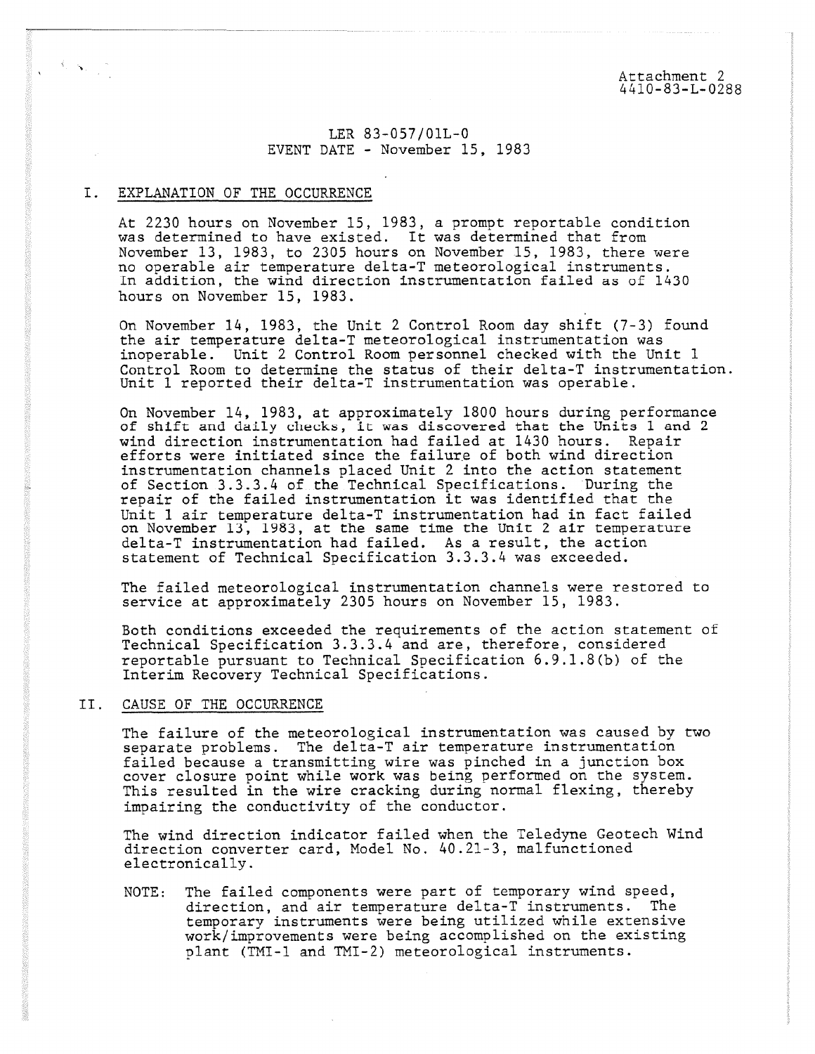Attachment 2 4410-83-L-0288

LER 83-057/01L-0 EVENT DATE - November 15, 1983

## I. EXPLANATION OF THE OCCURRENCE

 $\mathcal{A}_{\mathcal{C}}(\mathbf{x}_i)$  ,

At 2230 hours on November 15, 1983, a prompt reportable condition was determined to have existed. It was determined that from November 13, 1983, to 2305 hours on November 15, 1983, there were no operable air temperature delta-T meteorological instruments. In addition, the wind direction instrumentation failed as of 1430 hours on November 15, 1983.

On November 14, 1983, the Unit 2 Control Room day shift (7-3) found the air temperature delta-T meteorological instrumentation was inoperable. Unit 2 Control Room personnel checked with the Unit 1 Control Room to determine the status of their delta-T instrumentation. Unit 1 reported their delta-T instrumentation was operable.

On November 14, 1983, at approximately 1800 hours during performance of shift and daily checks, it was discovered that the Units 1 and 2 wind direction instrumentation had failed at 1430 hours. Repair efforts were initiated since the failure of both wind direction instrumentation channels placed Unit 2 into the action statement of Section 3.3.3.4 of the Technical Specifications. During the repair of the failed instrumentation it was identified that the Unit 1 air temperature delta-T instrumentation had in fact failed on November 13, 1983, at the same time the Unit 2 air temperature delta-T instrumentation had failed. As a result, the action statement of Technical Specification 3.3.3.4 was exceeded.

The failed meteorological instrumentation channels were restored to service at approximately 2305 hours on November 15, 1983.

Both conditions exceeded the requirements of the action statement of Technical Specification 3.3.3.4 and are, therefore, considered reportable pursuant to Technical Specification 6.9.1.8(b) of the Interim Recovery Technical Specifications.

### II. CAUSE OF THE OCCURRENCE

The failure of the meteorological instrumentation was caused by two separate problems. The delta-T air temperature instrumentation failed because a transmitting wire was pinched in a junction box cover closure point while work was being performed on the system. This resulted in the wire cracking during normal flexing, thereby impairing the conductivity of the conductor.

The wind direction indicator failed when the Teledyne Geotech Wind direction converter card, Model No. 40.21-3, malfunctioned electronically.

NOTE: The failed components were part of temporary wind speed, direction, and air temperature delta-T instruments. The temporary instruments were being utilized while extensive work/improvements were being accomplished on the existing plant (TMI-1 and TMI-2) meteorological instruments.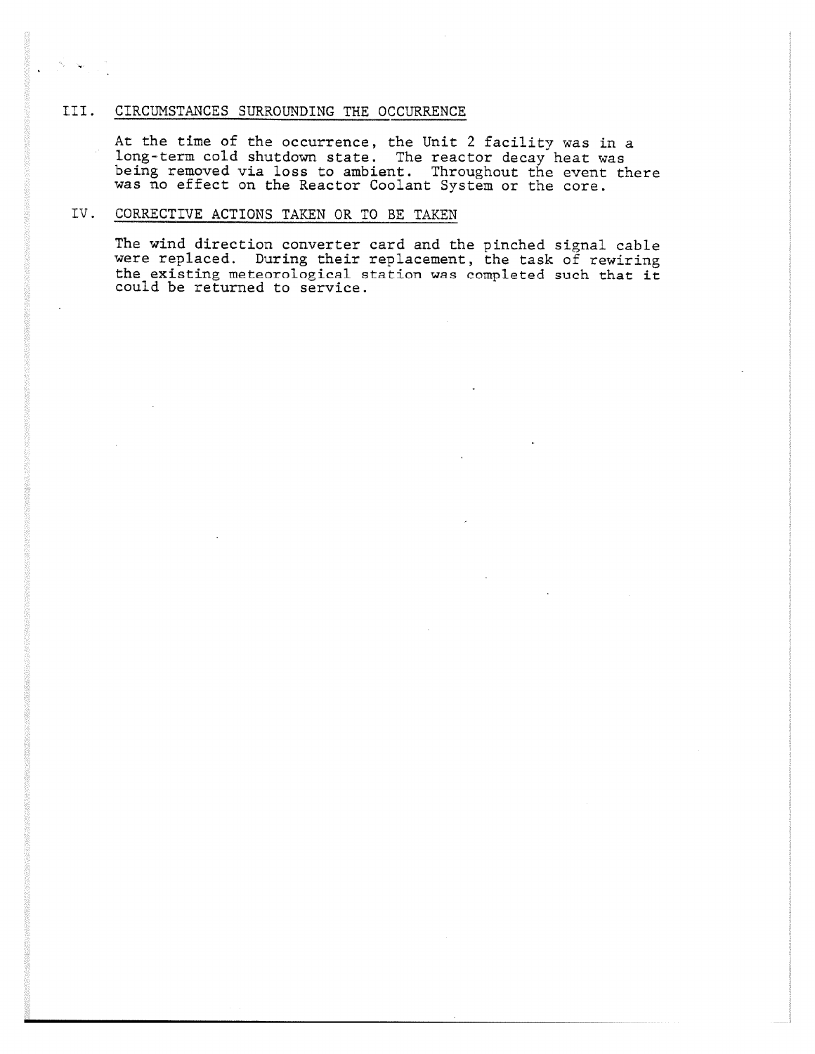## III. CIRCUMSTANCES SURROUNDING THE OCCURRENCE

At the time of the occurrence, the Unit 2 facility was in a long-term cold shutdown state. The reactor decay heat was being removed via loss to ambient. Throughout the event there was no effect on the Reactor Coolant System or the core.

# IV. CORRECTIVE ACTIONS TAKEN OR TO BE TAKEN

The wind direction converter card and the pinched signal cable were replaced. During their replacement, the task of rewiring the existing meteorological station was completed such that it could be returned to service.